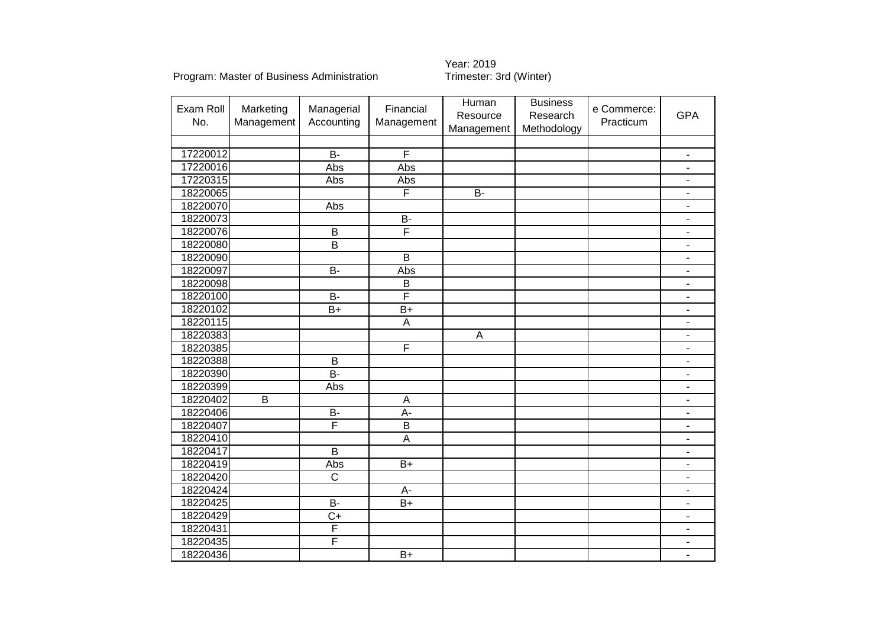Year: 2019<br>Trimester: 3rd (Winter)

| Exam Roll | Marketing      | Managerial              | Financial               | Human      | <b>Business</b> | e Commerce: |                              |
|-----------|----------------|-------------------------|-------------------------|------------|-----------------|-------------|------------------------------|
| No.       | Management     | Accounting              | Management              | Resource   | Research        | Practicum   | <b>GPA</b>                   |
|           |                |                         |                         | Management | Methodology     |             |                              |
|           |                |                         |                         |            |                 |             |                              |
| 17220012  |                | $B -$                   | F                       |            |                 |             | $\overline{\phantom{a}}$     |
| 17220016  |                | Abs                     | Abs                     |            |                 |             | $\blacksquare$               |
| 17220315  |                | Abs                     | Abs                     |            |                 |             | $\qquad \qquad \blacksquare$ |
| 18220065  |                |                         | F                       | <b>B-</b>  |                 |             | $\overline{\phantom{a}}$     |
| 18220070  |                | Abs                     |                         |            |                 |             | $\overline{\phantom{a}}$     |
| 18220073  |                |                         | $B -$                   |            |                 |             | $\qquad \qquad \blacksquare$ |
| 18220076  |                | $\overline{B}$          | F                       |            |                 |             | $\overline{\phantom{a}}$     |
| 18220080  |                | B                       |                         |            |                 |             | $\sim$                       |
| 18220090  |                |                         | $\overline{B}$          |            |                 |             | $\overline{\phantom{m}}$     |
| 18220097  |                | $\overline{B}$          | Abs                     |            |                 |             | $\overline{\phantom{a}}$     |
| 18220098  |                |                         | $\mathsf B$             |            |                 |             | $\blacksquare$               |
| 18220100  |                | B-                      | $\overline{\mathsf{F}}$ |            |                 |             | $\blacksquare$               |
| 18220102  |                | $B+$                    | $\overline{B+}$         |            |                 |             | $\blacksquare$               |
| 18220115  |                |                         | A                       |            |                 |             | $\blacksquare$               |
| 18220383  |                |                         |                         | A          |                 |             | $\overline{\phantom{a}}$     |
| 18220385  |                |                         | F                       |            |                 |             | $\overline{\phantom{a}}$     |
| 18220388  |                | B                       |                         |            |                 |             | $\overline{\phantom{a}}$     |
| 18220390  |                | $\overline{B}$          |                         |            |                 |             | $\blacksquare$               |
| 18220399  |                | Abs                     |                         |            |                 |             | $\overline{\phantom{m}}$     |
| 18220402  | $\overline{B}$ |                         | A                       |            |                 |             | $\overline{\phantom{a}}$     |
| 18220406  |                | <b>B-</b>               | A-                      |            |                 |             | $\blacksquare$               |
| 18220407  |                | $\overline{\mathsf{F}}$ | $\overline{B}$          |            |                 |             | $\overline{\phantom{m}}$     |
| 18220410  |                |                         | $\overline{A}$          |            |                 |             | $\qquad \qquad \blacksquare$ |
| 18220417  |                | B                       |                         |            |                 |             | $\blacksquare$               |
| 18220419  |                | Abs                     | $B+$                    |            |                 |             | $\blacksquare$               |
| 18220420  |                | $\overline{\text{C}}$   |                         |            |                 |             | $\blacksquare$               |
| 18220424  |                |                         | A-                      |            |                 |             | $\overline{\phantom{a}}$     |
| 18220425  |                | $\overline{B}$          | $\overline{B+}$         |            |                 |             | $\blacksquare$               |
| 18220429  |                | $C+$                    |                         |            |                 |             | $\blacksquare$               |
| 18220431  |                | F                       |                         |            |                 |             | $\blacksquare$               |
| 18220435  |                | F                       |                         |            |                 |             |                              |
| 18220436  |                |                         | $B+$                    |            |                 |             | $\blacksquare$               |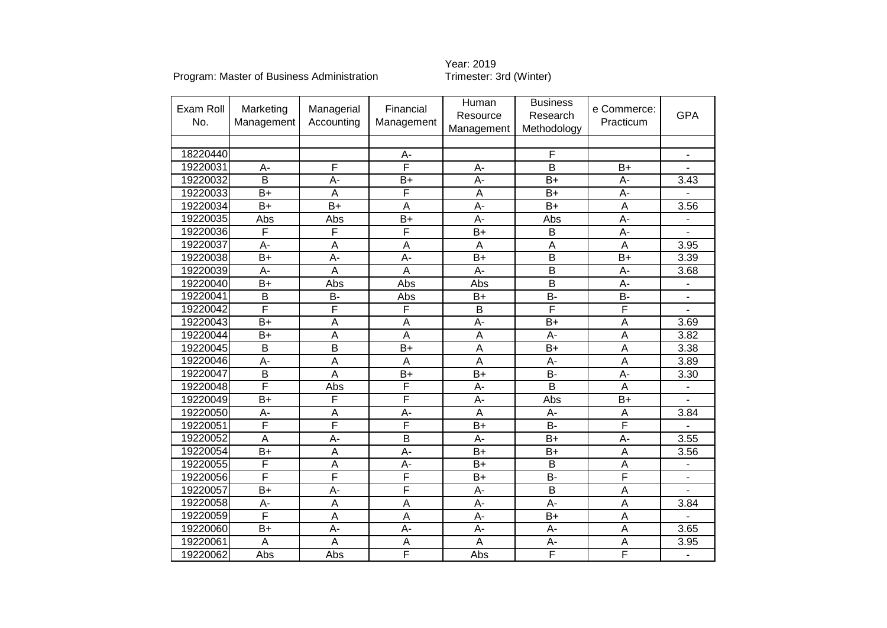# Year: 2019<br>Trimester: 3rd (Winter)

| Exam Roll<br>No. | Marketing<br>Management | Managerial<br>Accounting | Financial<br>Management | Human<br>Resource<br>Management | <b>Business</b><br>Research<br>Methodology | e Commerce:<br>Practicum | <b>GPA</b>               |
|------------------|-------------------------|--------------------------|-------------------------|---------------------------------|--------------------------------------------|--------------------------|--------------------------|
|                  |                         |                          |                         |                                 |                                            |                          |                          |
| 18220440         |                         |                          | A-                      |                                 | F                                          |                          | ٠                        |
| 19220031         | A-                      | F                        | $\overline{\mathsf{F}}$ | A-                              | $\overline{\mathsf{B}}$                    | $B+$                     |                          |
| 19220032         | B                       | A-                       | $B+$                    | A-                              | $B+$                                       | A-                       | 3.43                     |
| 19220033         | $B+$                    | A                        | $\overline{\mathsf{F}}$ | A                               | $\overline{B+}$                            | A-                       |                          |
| 19220034         | $B+$                    | $\overline{B+}$          | A                       | A-                              | $\overline{B+}$                            | A                        | 3.56                     |
| 19220035         | Abs                     | Abs                      | $B+$                    | A-                              | Abs                                        | A-                       |                          |
| 19220036         | F                       | F                        | F                       | $B+$                            | B                                          | A-                       |                          |
| 19220037         | A-                      | A                        | A                       | A                               | A                                          | A                        | 3.95                     |
| 19220038         | $B+$                    | А-                       | A-                      | $B+$                            | $\overline{B}$                             | $B+$                     | 3.39                     |
| 19220039         | A-                      | A                        | $\overline{A}$          | A-                              | $\overline{\mathsf{B}}$                    | A-                       | 3.68                     |
| 19220040         | $B+$                    | Abs                      | Abs                     | Abs                             | $\overline{\mathsf{B}}$                    | A-                       | $\blacksquare$           |
| 19220041         | B                       | <b>B-</b>                | Abs                     | $B+$                            | <b>B-</b>                                  | <b>B-</b>                | $\overline{\phantom{a}}$ |
| 19220042         | F                       | F                        | $\overline{\mathsf{F}}$ | B                               | F                                          | F                        | ÷.                       |
| 19220043         | $\overline{B+}$         | A                        | $\overline{A}$          | A-                              | $B+$                                       | A                        | 3.69                     |
| 19220044         | $B+$                    | A                        | $\overline{A}$          | A                               | A-                                         | A                        | 3.82                     |
| 19220045         | B                       | $\overline{B}$           | $B+$                    | A                               | $\overline{B+}$                            | A                        | 3.38                     |
| 19220046         | A-                      | A                        | $\overline{A}$          | $\overline{A}$                  | A-                                         | A                        | 3.89                     |
| 19220047         | B                       | A                        | $B+$                    | $B+$                            | <b>B-</b>                                  | A-                       | 3.30                     |
| 19220048         | F                       | Abs                      | F                       | A-                              | $\overline{B}$                             | A                        |                          |
| 19220049         | $B+$                    | F                        | F                       | $A -$                           | Abs                                        | $B+$                     |                          |
| 19220050         | A-                      | A                        | $A -$                   | A                               | A-                                         | A                        | 3.84                     |
| 19220051         | F                       | F                        | F                       | $B+$                            | $\overline{B}$                             | F                        |                          |
| 19220052         | $\overline{\mathsf{A}}$ | $\overline{A}$ -         | $\overline{\mathsf{B}}$ | A-                              | $\overline{B+}$                            | $\overline{A}$ -         | 3.55                     |
| 19220054         | $B+$                    | A                        | $\overline{A}$ -        | $B+$                            | $B+$                                       | A                        | 3.56                     |
| 19220055         | F                       | A                        | $\overline{A}$          | $\overline{B+}$                 | $\overline{B}$                             | A                        | $\overline{\phantom{a}}$ |
| 19220056         | F                       | F                        | F                       | $\overline{B+}$                 | $B -$                                      | F                        |                          |
| 19220057         | $B+$                    | A-                       | F                       | A-                              | B                                          | A                        |                          |
| 19220058         | A-                      | A                        | $\overline{A}$          | A-                              | $\overline{A}$ -                           | $\overline{A}$           | 3.84                     |
| 19220059         | F                       | A                        | A                       | A-                              | $B+$                                       | A                        |                          |
| 19220060         | $B+$                    | A-                       | $\overline{A}$          | A-                              | A-                                         | A                        | 3.65                     |
| 19220061         | A                       | A                        | A                       | A                               | A-                                         | A                        | 3.95                     |
| 19220062         | Abs                     | Abs                      | F                       | Abs                             | F                                          | F                        | $\blacksquare$           |
|                  |                         |                          |                         |                                 |                                            |                          |                          |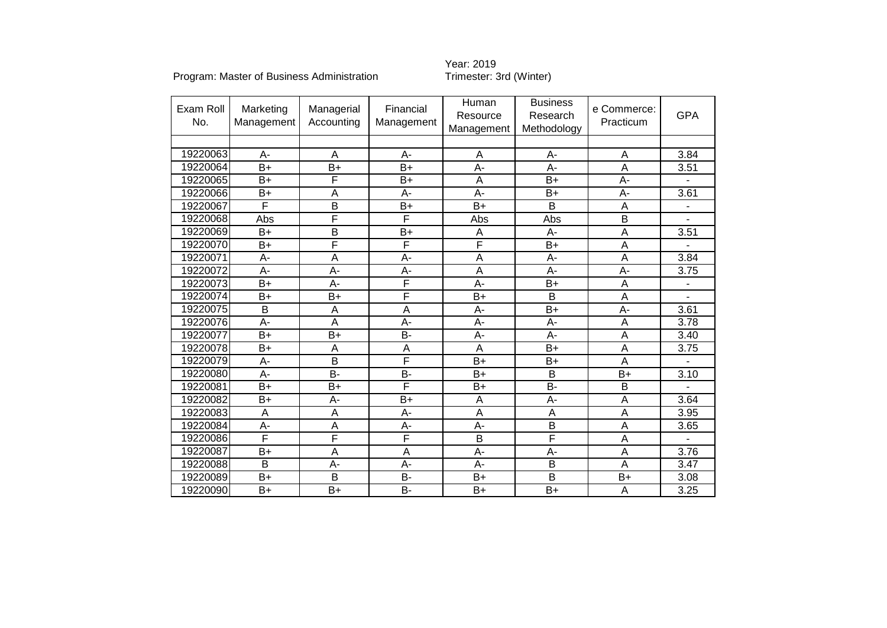# Year: 2019<br>Trimester: 3rd (Winter)

| Exam Roll<br>No. | Marketing<br>Management | Managerial<br>Accounting | Financial<br>Management | Human<br>Resource<br>Management | <b>Business</b><br>Research<br>Methodology | e Commerce:<br>Practicum | <b>GPA</b>        |
|------------------|-------------------------|--------------------------|-------------------------|---------------------------------|--------------------------------------------|--------------------------|-------------------|
|                  |                         |                          |                         |                                 |                                            |                          |                   |
| 19220063         | $A -$                   | $\overline{A}$           | $A -$                   | A                               | A-                                         | A                        | 3.84              |
| 19220064         | $B+$                    | $B+$                     | $B+$                    | A-                              | A-                                         | A                        | 3.51              |
| 19220065         | $B+$                    | $\overline{F}$           | $B+$                    | A                               | $B+$                                       | $A -$                    |                   |
| 19220066         | $B+$                    | A                        | А-                      | A-                              | $B+$                                       | A-                       | 3.61              |
| 19220067         | F                       | $\overline{B}$           | $B+$                    | $B+$                            | B                                          | A                        | ÷,                |
| 19220068         | Abs                     | F                        | F                       | Abs                             | Abs                                        | $\overline{B}$           |                   |
| 19220069         | $B+$                    | $\overline{B}$           | $B+$                    | A                               | A-                                         | A                        | 3.51              |
| 19220070         | $B+$                    | F                        | F                       | F                               | $\overline{B+}$                            | A                        |                   |
| 19220071         | A-                      | $\overline{A}$           | A-                      | A                               | A-                                         | A                        | 3.84              |
| 19220072         | A-                      | A-                       | $A -$                   | A                               | A-                                         | A-                       | 3.75              |
| 19220073         | $B+$                    | A-                       | F                       | A-                              | $B+$                                       | A                        |                   |
| 19220074         | $B+$                    | $B+$                     | F                       | $B+$                            | B                                          | A                        |                   |
| 19220075         | B                       | $\overline{A}$           | A                       | $A -$                           | B+                                         | A-                       | 3.61              |
| 19220076         | A-                      | A                        | A-                      | A-                              | A-                                         | A                        | 3.78              |
| 19220077         | $B+$                    | $B+$                     | <b>B-</b>               | A-                              | A-                                         | A                        | 3.40              |
| 19220078         | $B+$                    | $\overline{A}$           | $\overline{A}$          | $\overline{A}$                  | $\overline{B+}$                            | $\overline{A}$           | 3.75              |
| 19220079         | A-                      | B                        | F                       | $B+$                            | $B+$                                       | A                        |                   |
| 19220080         | A-                      | <b>B-</b>                | <b>B-</b>               | $B+$                            | B                                          | $B+$                     | 3.10              |
| 19220081         | $B+$                    | $B+$                     | F                       | $B+$                            | <b>B-</b>                                  | B                        |                   |
| 19220082         | $B+$                    | A-                       | $B+$                    | A                               | A-                                         | A                        | 3.64              |
| 19220083         | A                       | A                        | A-                      | A                               | A                                          | A                        | 3.95              |
| 19220084         | $\overline{A}$          | $\overline{A}$           | $\overline{A}$          | $\overline{A}$                  | $\overline{\mathsf{B}}$                    | $\overline{A}$           | 3.65              |
| 19220086         | F                       | F                        | F                       | B                               | $\overline{F}$                             | A                        |                   |
| 19220087         | $B+$                    | $\overline{A}$           | A                       | A-                              | $A -$                                      | A                        | 3.76              |
| 19220088         | $\overline{B}$          | $\overline{A}$           | A-                      | A-                              | $\overline{B}$                             | A                        | $\overline{3.47}$ |
| 19220089         | $B+$                    | B                        | <b>B-</b>               | $B+$                            | B                                          | $B+$                     | 3.08              |
| 19220090         | $B+$                    | $B+$                     | <b>B-</b>               | $B+$                            | $B+$                                       | A                        | 3.25              |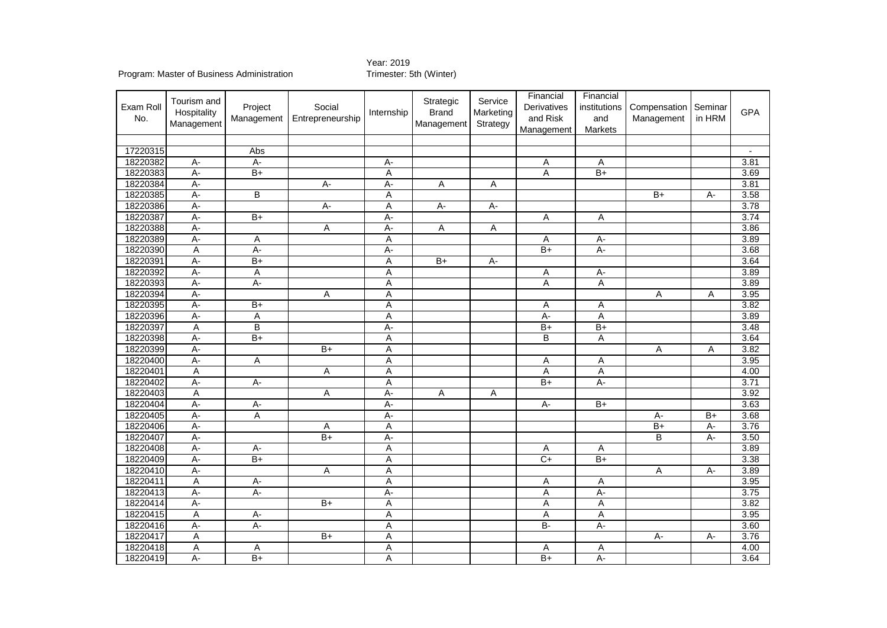### Year: 2019<br>Trimester: 5th (Winter)

| 17220315<br>Abs<br>18220382<br>3.81<br>$A -$<br>A-<br>A-<br>Α<br>Α<br>18220383<br>$A -$<br>$\overline{B+}$<br>A<br>$\overline{B+}$<br>3.69<br>Α<br>18220384<br>$A -$<br>$A -$<br>3.81<br>A-<br>Α<br>Α<br>18220385<br>В<br>3.58<br>$A -$<br>Α<br>B+<br>A-<br>3.78<br>18220386<br>$A -$<br>$\overline{A}$ -<br>Α<br>$A -$<br>А-<br>3.74<br>18220387<br>$A -$<br>$\overline{B+}$<br>$A -$<br>Α<br>Α<br>18220388<br>$A -$<br>$A -$<br>3.86<br>Α<br>Α<br>Α<br>3.89<br>18220389<br>$A -$<br>A<br>Α<br>$\overline{A}$ -<br>Α<br>$B+$<br>3.68<br>18220390<br>Α<br>A-<br>A-<br>А-<br>$A -$<br>$\overline{B+}$<br>$\overline{B+}$<br>3.64<br>18220391<br>A<br>А-<br>18220392<br>3.89<br>$A -$<br>$\overline{A}$<br>$\overline{A}$<br>$\overline{A}$<br>$A -$<br>3.89<br>18220393<br>$A -$<br>$\overline{A}$<br>$\overline{A}$<br>$A -$<br>Α | Exam Roll<br>No. | Tourism and<br>Hospitality<br>Management | Project<br>Management | Social<br>Entrepreneurship | Internship | Strategic<br><b>Brand</b><br>Management | Service<br>Marketing<br>Strategy | Financial<br>Derivatives<br>and Risk<br>Management | Financial<br>institutions<br>and<br>Markets | Compensation<br>Management | Seminar<br>in HRM | <b>GPA</b> |
|-----------------------------------------------------------------------------------------------------------------------------------------------------------------------------------------------------------------------------------------------------------------------------------------------------------------------------------------------------------------------------------------------------------------------------------------------------------------------------------------------------------------------------------------------------------------------------------------------------------------------------------------------------------------------------------------------------------------------------------------------------------------------------------------------------------------------------------|------------------|------------------------------------------|-----------------------|----------------------------|------------|-----------------------------------------|----------------------------------|----------------------------------------------------|---------------------------------------------|----------------------------|-------------------|------------|
|                                                                                                                                                                                                                                                                                                                                                                                                                                                                                                                                                                                                                                                                                                                                                                                                                                   |                  |                                          |                       |                            |            |                                         |                                  |                                                    |                                             |                            |                   |            |
|                                                                                                                                                                                                                                                                                                                                                                                                                                                                                                                                                                                                                                                                                                                                                                                                                                   |                  |                                          |                       |                            |            |                                         |                                  |                                                    |                                             |                            |                   |            |
|                                                                                                                                                                                                                                                                                                                                                                                                                                                                                                                                                                                                                                                                                                                                                                                                                                   |                  |                                          |                       |                            |            |                                         |                                  |                                                    |                                             |                            |                   |            |
|                                                                                                                                                                                                                                                                                                                                                                                                                                                                                                                                                                                                                                                                                                                                                                                                                                   |                  |                                          |                       |                            |            |                                         |                                  |                                                    |                                             |                            |                   |            |
|                                                                                                                                                                                                                                                                                                                                                                                                                                                                                                                                                                                                                                                                                                                                                                                                                                   |                  |                                          |                       |                            |            |                                         |                                  |                                                    |                                             |                            |                   |            |
|                                                                                                                                                                                                                                                                                                                                                                                                                                                                                                                                                                                                                                                                                                                                                                                                                                   |                  |                                          |                       |                            |            |                                         |                                  |                                                    |                                             |                            |                   |            |
|                                                                                                                                                                                                                                                                                                                                                                                                                                                                                                                                                                                                                                                                                                                                                                                                                                   |                  |                                          |                       |                            |            |                                         |                                  |                                                    |                                             |                            |                   |            |
|                                                                                                                                                                                                                                                                                                                                                                                                                                                                                                                                                                                                                                                                                                                                                                                                                                   |                  |                                          |                       |                            |            |                                         |                                  |                                                    |                                             |                            |                   |            |
|                                                                                                                                                                                                                                                                                                                                                                                                                                                                                                                                                                                                                                                                                                                                                                                                                                   |                  |                                          |                       |                            |            |                                         |                                  |                                                    |                                             |                            |                   |            |
|                                                                                                                                                                                                                                                                                                                                                                                                                                                                                                                                                                                                                                                                                                                                                                                                                                   |                  |                                          |                       |                            |            |                                         |                                  |                                                    |                                             |                            |                   |            |
|                                                                                                                                                                                                                                                                                                                                                                                                                                                                                                                                                                                                                                                                                                                                                                                                                                   |                  |                                          |                       |                            |            |                                         |                                  |                                                    |                                             |                            |                   |            |
|                                                                                                                                                                                                                                                                                                                                                                                                                                                                                                                                                                                                                                                                                                                                                                                                                                   |                  |                                          |                       |                            |            |                                         |                                  |                                                    |                                             |                            |                   |            |
|                                                                                                                                                                                                                                                                                                                                                                                                                                                                                                                                                                                                                                                                                                                                                                                                                                   |                  |                                          |                       |                            |            |                                         |                                  |                                                    |                                             |                            |                   |            |
|                                                                                                                                                                                                                                                                                                                                                                                                                                                                                                                                                                                                                                                                                                                                                                                                                                   |                  |                                          |                       |                            |            |                                         |                                  |                                                    |                                             |                            |                   |            |
|                                                                                                                                                                                                                                                                                                                                                                                                                                                                                                                                                                                                                                                                                                                                                                                                                                   | 18220394         | $A -$                                    |                       | Α                          | Α          |                                         |                                  |                                                    |                                             | Α                          | Α                 | 3.95       |
| 3.82<br>18220395<br>A-<br>$B+$<br>Α<br>Α<br>Α                                                                                                                                                                                                                                                                                                                                                                                                                                                                                                                                                                                                                                                                                                                                                                                     |                  |                                          |                       |                            |            |                                         |                                  |                                                    |                                             |                            |                   |            |
| 18220396<br>$A -$<br>A<br>A<br>$A -$<br>A<br>3.89                                                                                                                                                                                                                                                                                                                                                                                                                                                                                                                                                                                                                                                                                                                                                                                 |                  |                                          |                       |                            |            |                                         |                                  |                                                    |                                             |                            |                   |            |
| 18220397<br>B<br>$\overline{B+}$<br>3.48<br>Α<br>A-<br>$B+$                                                                                                                                                                                                                                                                                                                                                                                                                                                                                                                                                                                                                                                                                                                                                                       |                  |                                          |                       |                            |            |                                         |                                  |                                                    |                                             |                            |                   |            |
| 18220398<br>$\overline{B+}$<br>B<br>3.64<br>A-<br>Α<br>Α                                                                                                                                                                                                                                                                                                                                                                                                                                                                                                                                                                                                                                                                                                                                                                          |                  |                                          |                       |                            |            |                                         |                                  |                                                    |                                             |                            |                   |            |
| 18220399<br>3.82<br>$A -$<br>$\overline{B}$<br>A<br>A<br>Α                                                                                                                                                                                                                                                                                                                                                                                                                                                                                                                                                                                                                                                                                                                                                                        |                  |                                          |                       |                            |            |                                         |                                  |                                                    |                                             |                            |                   |            |
| 18220400<br>3.95<br>$A -$<br>Ā<br>Α<br>Α<br>Α                                                                                                                                                                                                                                                                                                                                                                                                                                                                                                                                                                                                                                                                                                                                                                                     |                  |                                          |                       |                            |            |                                         |                                  |                                                    |                                             |                            |                   |            |
| 4.00<br>18220401<br>$\overline{A}$<br>Α<br>Α<br>Α<br>Α                                                                                                                                                                                                                                                                                                                                                                                                                                                                                                                                                                                                                                                                                                                                                                            |                  |                                          |                       |                            |            |                                         |                                  |                                                    |                                             |                            |                   |            |
| 3.71<br>18220402<br>$A -$<br>$\overline{B+}$<br>$A -$<br>$A -$<br>Α                                                                                                                                                                                                                                                                                                                                                                                                                                                                                                                                                                                                                                                                                                                                                               |                  |                                          |                       |                            |            |                                         |                                  |                                                    |                                             |                            |                   |            |
| 3.92<br>18220403<br>A<br>$\overline{A}$<br>$A -$<br>Α<br>Α                                                                                                                                                                                                                                                                                                                                                                                                                                                                                                                                                                                                                                                                                                                                                                        |                  |                                          |                       |                            |            |                                         |                                  |                                                    |                                             |                            |                   |            |
| 3.63<br>18220404<br>$A -$<br>$A -$<br>$\overline{A}$ -<br>A-<br>$B+$                                                                                                                                                                                                                                                                                                                                                                                                                                                                                                                                                                                                                                                                                                                                                              |                  |                                          |                       |                            |            |                                         |                                  |                                                    |                                             |                            |                   |            |
| 18220405<br>3.68<br>$A -$<br>Α<br>$B+$<br>А-<br>A-                                                                                                                                                                                                                                                                                                                                                                                                                                                                                                                                                                                                                                                                                                                                                                                |                  |                                          |                       |                            |            |                                         |                                  |                                                    |                                             |                            |                   |            |
| 18220406<br>$A -$<br>3.76<br>Α<br>$B+$<br>Α<br>А-                                                                                                                                                                                                                                                                                                                                                                                                                                                                                                                                                                                                                                                                                                                                                                                 |                  |                                          |                       |                            |            |                                         |                                  |                                                    |                                             |                            |                   |            |
| 18220407<br>$B+$<br>$A -$<br>$A -$<br>В<br>$A -$<br>3.50                                                                                                                                                                                                                                                                                                                                                                                                                                                                                                                                                                                                                                                                                                                                                                          |                  |                                          |                       |                            |            |                                         |                                  |                                                    |                                             |                            |                   |            |
| 18220408<br>3.89<br>$A -$<br>A<br>A-<br>Α<br>Α                                                                                                                                                                                                                                                                                                                                                                                                                                                                                                                                                                                                                                                                                                                                                                                    |                  |                                          |                       |                            |            |                                         |                                  |                                                    |                                             |                            |                   |            |
| $\overline{B+}$<br>$\overline{C+}$<br>3.38<br>18220409<br>$A -$<br>A<br>$\overline{B+}$                                                                                                                                                                                                                                                                                                                                                                                                                                                                                                                                                                                                                                                                                                                                           |                  |                                          |                       |                            |            |                                         |                                  |                                                    |                                             |                            |                   |            |
| 18220410<br>3.89<br>$A -$<br>A<br>A<br>Α<br>$A -$                                                                                                                                                                                                                                                                                                                                                                                                                                                                                                                                                                                                                                                                                                                                                                                 |                  |                                          |                       |                            |            |                                         |                                  |                                                    |                                             |                            |                   |            |
| 18220411<br>3.95<br>Α<br>$\overline{A}$ -<br>Α<br>Α<br>Α                                                                                                                                                                                                                                                                                                                                                                                                                                                                                                                                                                                                                                                                                                                                                                          |                  |                                          |                       |                            |            |                                         |                                  |                                                    |                                             |                            |                   |            |
| 18220413<br>3.75<br>A-<br>$\overline{A}$ -<br>А-<br>Α<br>$A -$                                                                                                                                                                                                                                                                                                                                                                                                                                                                                                                                                                                                                                                                                                                                                                    |                  |                                          |                       |                            |            |                                         |                                  |                                                    |                                             |                            |                   |            |
| 18220414<br>3.82<br>A-<br>$B+$<br>Α<br>Α<br>Α                                                                                                                                                                                                                                                                                                                                                                                                                                                                                                                                                                                                                                                                                                                                                                                     |                  |                                          |                       |                            |            |                                         |                                  |                                                    |                                             |                            |                   |            |
| 18220415<br>3.95<br>Α<br>$A -$<br>Α<br>Α<br>Α                                                                                                                                                                                                                                                                                                                                                                                                                                                                                                                                                                                                                                                                                                                                                                                     |                  |                                          |                       |                            |            |                                         |                                  |                                                    |                                             |                            |                   |            |
| 18220416<br>$A -$<br>$B -$<br>3.60<br>$A -$<br>$A -$<br>Α                                                                                                                                                                                                                                                                                                                                                                                                                                                                                                                                                                                                                                                                                                                                                                         |                  |                                          |                       |                            |            |                                         |                                  |                                                    |                                             |                            |                   |            |
| 3.76<br>18220417<br>$B+$<br>Α<br>Α<br>A-<br>A-                                                                                                                                                                                                                                                                                                                                                                                                                                                                                                                                                                                                                                                                                                                                                                                    |                  |                                          |                       |                            |            |                                         |                                  |                                                    |                                             |                            |                   |            |
| 18220418<br>Α<br>Α<br>Α<br>4.00<br>Α<br>Α                                                                                                                                                                                                                                                                                                                                                                                                                                                                                                                                                                                                                                                                                                                                                                                         |                  |                                          |                       |                            |            |                                         |                                  |                                                    |                                             |                            |                   |            |
| 18220419<br>$\overline{A}$ -<br>$\overline{B+}$<br>$\overline{B+}$<br>$A -$<br>3.64<br>A                                                                                                                                                                                                                                                                                                                                                                                                                                                                                                                                                                                                                                                                                                                                          |                  |                                          |                       |                            |            |                                         |                                  |                                                    |                                             |                            |                   |            |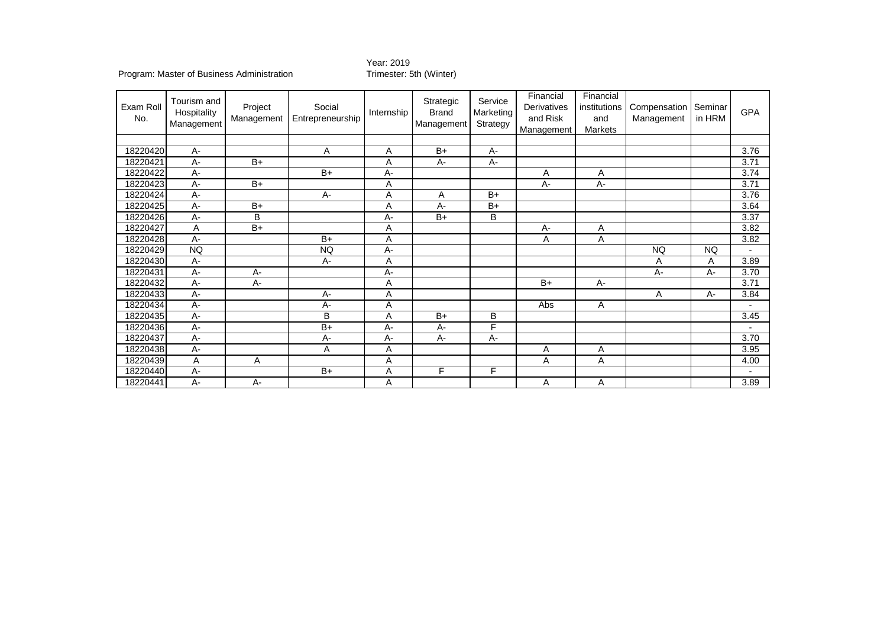## Year: 2019<br>Trimester: 5th (Winter)

| Exam Roll<br>No. | Tourism and<br>Hospitality<br>Management | Project<br>Management | Social<br>Entrepreneurship | Internship | Strategic<br><b>Brand</b><br>Management | Service<br>Marketing<br>Strategy | Financial<br>Derivatives<br>and Risk<br>Management | Financial<br>institutions<br>and<br>Markets | Compensation<br>Management | Seminar<br>in HRM | <b>GPA</b>               |
|------------------|------------------------------------------|-----------------------|----------------------------|------------|-----------------------------------------|----------------------------------|----------------------------------------------------|---------------------------------------------|----------------------------|-------------------|--------------------------|
|                  |                                          |                       |                            |            |                                         |                                  |                                                    |                                             |                            |                   |                          |
| 18220420         | $A -$                                    |                       | A                          | A          | $B+$                                    | $A -$                            |                                                    |                                             |                            |                   | 3.76                     |
| 18220421         | A-                                       | $B+$                  |                            | Α          | A-                                      | A-                               |                                                    |                                             |                            |                   | 3.71                     |
| 18220422         | $A -$                                    |                       | $B+$                       | A-         |                                         |                                  | A                                                  | Α                                           |                            |                   | 3.74                     |
| 18220423         | $A -$                                    | $B+$                  |                            | A          |                                         |                                  | $A -$                                              | $A -$                                       |                            |                   | 3.71                     |
| 18220424         | A-                                       |                       | $A -$                      | Α          | Α                                       | $B+$                             |                                                    |                                             |                            |                   | 3.76                     |
| 18220425         | A-                                       | $B+$                  |                            | Α          | A-                                      | $B+$                             |                                                    |                                             |                            |                   | 3.64                     |
| 18220426         | А-                                       | B                     |                            | А-         | $B+$                                    | B                                |                                                    |                                             |                            |                   | 3.37                     |
| 18220427         | Α                                        | $B+$                  |                            | Α          |                                         |                                  | А-                                                 | Α                                           |                            |                   | 3.82                     |
| 18220428         | $A -$                                    |                       | $B+$                       | A          |                                         |                                  | Α                                                  | Α                                           |                            |                   | 3.82                     |
| 18220429         | <b>NQ</b>                                |                       | <b>NQ</b>                  | A-         |                                         |                                  |                                                    |                                             | <b>NQ</b>                  | <b>NQ</b>         | $\overline{\phantom{0}}$ |
| 18220430         | A-                                       |                       | $A -$                      | Α          |                                         |                                  |                                                    |                                             | Α                          | A                 | 3.89                     |
| 18220431         | $A -$                                    | $A -$                 |                            | $A -$      |                                         |                                  |                                                    |                                             | $A -$                      | $A -$             | 3.70                     |
| 18220432         | A-                                       | $A -$                 |                            | Α          |                                         |                                  | $B+$                                               | A-                                          |                            |                   | 3.71                     |
| 18220433         | A-                                       |                       | A-                         | Α          |                                         |                                  |                                                    |                                             | Α                          | A-                | 3.84                     |
| 18220434         | $A -$                                    |                       | A-                         | Α          |                                         |                                  | Abs                                                | Α                                           |                            |                   |                          |
| 18220435         | $A -$                                    |                       | B                          | A          | $B+$                                    | B                                |                                                    |                                             |                            |                   | 3.45                     |
| 18220436         | $A -$                                    |                       | $B+$                       | $A -$      | $A -$                                   | F                                |                                                    |                                             |                            |                   |                          |
| 18220437         | A-                                       |                       | A-                         | A-         | $A -$                                   | A-                               |                                                    |                                             |                            |                   | 3.70                     |
| 18220438         | $A -$                                    |                       | A                          | A          |                                         |                                  | A                                                  | A                                           |                            |                   | 3.95                     |
| 18220439         | Α                                        | Α                     |                            | Α          |                                         |                                  | Α                                                  | Α                                           |                            |                   | 4.00                     |
| 18220440         | $A -$                                    |                       | $B+$                       | Α          | F                                       | F                                |                                                    |                                             |                            |                   | $\overline{\phantom{0}}$ |
| 18220441         | $A -$                                    | $A -$                 |                            | Α          |                                         |                                  | Α                                                  | Α                                           |                            |                   | 3.89                     |